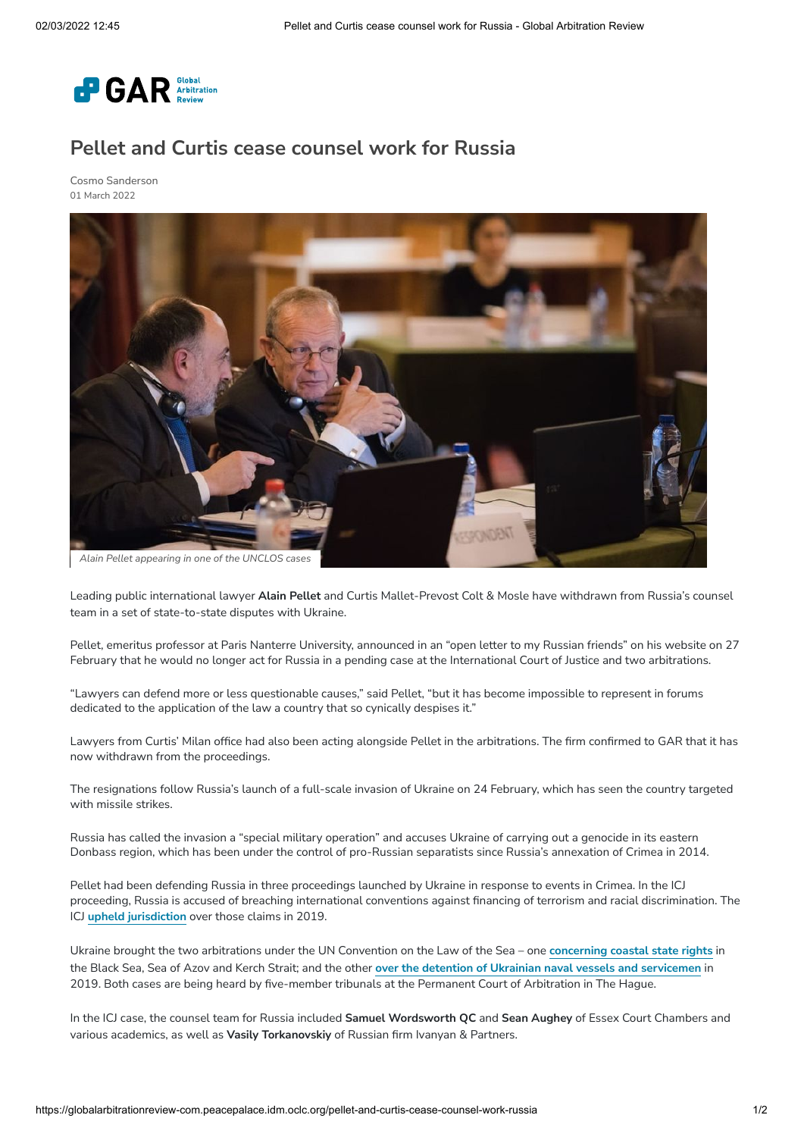

## **Pellet and Curtis cease counsel work for Russia**

Cosmo [Sanderson](https://globalarbitrationreview-com.peacepalace.idm.oclc.org/authors/cosmo-sanderson) 01 March 2022



Leading public international lawyer **Alain Pellet** and Curtis Mallet-Prevost Colt & Mosle have withdrawn from Russia's counsel team in a set of state-to-state disputes with Ukraine.

Pellet, emeritus professor at Paris Nanterre University, announced in an "open letter to my Russian friends" on his website on 27 February that he would no longer act for Russia in a pending case at the International Court of Justice and two arbitrations.

"Lawyers can defend more or less questionable causes," said Pellet, "but it has become impossible to represent in forums dedicated to the application of the law a country that so cynically despises it."

Lawyers from Curtis' Milan office had also been acting alongside Pellet in the arbitrations. The firm confirmed to GAR that it has now withdrawn from the proceedings.

The resignations follow Russia's launch of a full-scale invasion of Ukraine on 24 February, which has seen the country targeted with missile strikes.

Russia has called the invasion a "special military operation" and accuses Ukraine of carrying out a genocide in its eastern Donbass region, which has been under the control of pro-Russian separatists since Russia's annexation of Crimea in 2014.

Pellet had been defending Russia in three proceedings launched by Ukraine in response to events in Crimea. In the ICJ proceeding, Russia is accused of breaching international conventions against financing of terrorism and racial discrimination. The ICJ **upheld [jurisdiction](https://globalarbitrationreview-com.peacepalace.idm.oclc.org/public-international-law/ukraines-icj-claim-against-russia-clears-hurdle)** over those claims in 2019.

Ukraine brought the two arbitrations under the UN Convention on the Law of the Sea – one **[concerning](https://globalarbitrationreview-com.peacepalace.idm.oclc.org/gallery/crimea-waters-case-gets-under-way-in-the-hague) coastal state rights** in the Black Sea, Sea of Azov and Kerch Strait; and the other **over the detention of Ukrainian naval vessels and [servicemen](https://globalarbitrationreview-com.peacepalace.idm.oclc.org/ukraine-seeks-order-release-of-vessels-and-crew)** in 2019. Both cases are being heard by five-member tribunals at the Permanent Court of Arbitration in The Hague.

In the ICJ case, the counsel team for Russia included **Samuel Wordsworth QC** and **Sean Aughey** of Essex Court Chambers and various academics, as well as **Vasily Torkanovskiy** of Russian firm Ivanyan & Partners.